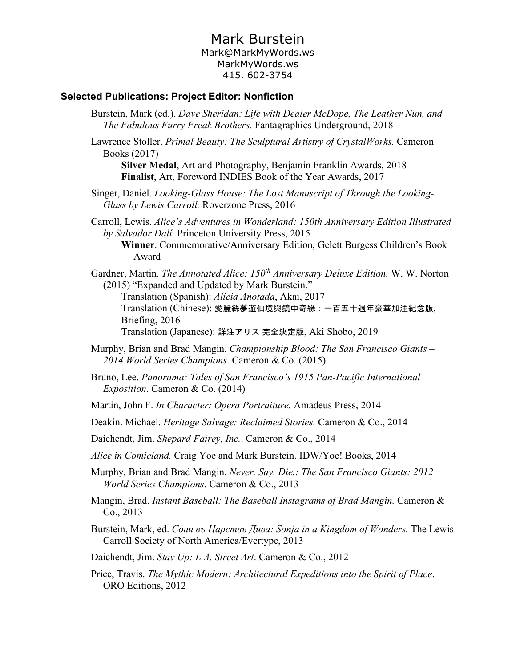# Mark Burstein

#### Mark@MarkMyWords.ws MarkMyWords.ws 415. 602-3754

#### **Selected Publications: Project Editor: Nonfiction**

- Burstein, Mark (ed.). *Dave Sheridan: Life with Dealer McDope, The Leather Nun, and The Fabulous Furry Freak Brothers.* Fantagraphics Underground, 2018
- Lawrence Stoller. *Primal Beauty: The Sculptural Artistry of CrystalWorks.* Cameron Books (2017)

**Silver Medal**, Art and Photography, Benjamin Franklin Awards, 2018 **Finalist**, Art, Foreword INDIES Book of the Year Awards, 2017

Singer, Daniel. *Looking-Glass House: The Lost Manuscript of Through the Looking-Glass by Lewis Carroll.* Roverzone Press, 2016

Carroll, Lewis. *Alice's Adventures in Wonderland: 150th Anniversary Edition Illustrated by Salvador Dalí.* Princeton University Press, 2015

**Winner**. Commemorative/Anniversary Edition, Gelett Burgess Children's Book Award

Gardner, Martin. *The Annotated Alice: 150th Anniversary Deluxe Edition.* W. W. Norton (2015) "Expanded and Updated by Mark Burstein."

Translation (Spanish): *Alicia Anotada*, Akai, 2017 Translation (Chinese): 愛麗絲夢遊仙境與鏡中奇緣:一百五十週年豪華加注紀念版, Briefing, 2016

Translation (Japanese): 詳注アリス 完全決定版, Aki Shobo, 2019

- Murphy, Brian and Brad Mangin. *Championship Blood: The San Francisco Giants – 2014 World Series Champions*. Cameron & Co. (2015)
- Bruno, Lee. *Panorama: Tales of San Francisco's 1915 Pan-Pacific International Exposition*. Cameron & Co. (2014)
- Martin, John F. *In Character: Opera Portraiture.* Amadeus Press, 2014
- Deakin. Michael. *Heritage Salvage: Reclaimed Stories.* Cameron & Co., 2014

Daichendt, Jim. *Shepard Fairey, Inc.*. Cameron & Co., 2014

- *Alice in Comicland.* Craig Yoe and Mark Burstein. IDW/Yoe! Books, 2014
- Murphy, Brian and Brad Mangin. *Never. Say. Die.: The San Francisco Giants: 2012 World Series Champions*. Cameron & Co., 2013
- Mangin, Brad. *Instant Baseball: The Baseball Instagrams of Brad Mangin.* Cameron & Co., 2013
- Burstein, Mark, ed. *Соня въ Царствъ Дива: Sonja in a Kingdom of Wonders.* The Lewis Carroll Society of North America/Evertype, 2013
- Daichendt, Jim. *Stay Up: L.A. Street Art*. Cameron & Co., 2012
- Price, Travis. *The Mythic Modern: Architectural Expeditions into the Spirit of Place*. ORO Editions, 2012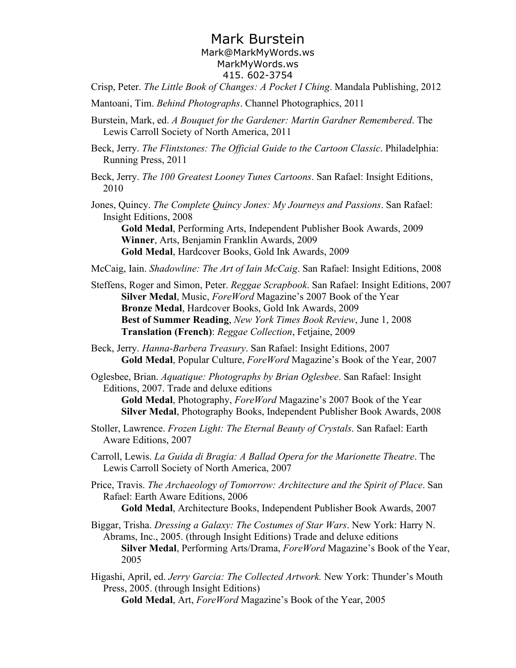# Mark Burstein

#### Mark@MarkMyWords.ws MarkMyWords.ws 415. 602-3754

Crisp, Peter. *The Little Book of Changes: A Pocket I Ching*. Mandala Publishing, 2012

- Mantoani, Tim. *Behind Photographs*. Channel Photographics, 2011
- Burstein, Mark, ed. *A Bouquet for the Gardener: Martin Gardner Remembered*. The Lewis Carroll Society of North America, 2011
- Beck, Jerry. *The Flintstones: The Official Guide to the Cartoon Classic*. Philadelphia: Running Press, 2011
- Beck, Jerry. *The 100 Greatest Looney Tunes Cartoons*. San Rafael: Insight Editions, 2010
- Jones, Quincy. *The Complete Quincy Jones: My Journeys and Passions*. San Rafael: Insight Editions, 2008

**Gold Medal**, Performing Arts, Independent Publisher Book Awards, 2009 **Winner**, Arts, Benjamin Franklin Awards, 2009 **Gold Medal**, Hardcover Books, Gold Ink Awards, 2009

- McCaig, Iain. *Shadowline: The Art of Iain McCaig*. San Rafael: Insight Editions, 2008
- Steffens, Roger and Simon, Peter. *Reggae Scrapbook*. San Rafael: Insight Editions, 2007 **Silver Medal**, Music, *ForeWord* Magazine's 2007 Book of the Year **Bronze Medal**, Hardcover Books, Gold Ink Awards, 2009 **Best of Summer Reading**, *New York Times Book Review*, June 1, 2008 **Translation (French)**: *Reggae Collection*, Fetjaine, 2009
- Beck, Jerry. *Hanna-Barbera Treasury*. San Rafael: Insight Editions, 2007 **Gold Medal**, Popular Culture, *ForeWord* Magazine's Book of the Year, 2007
- Oglesbee, Brian. *Aquatique: Photographs by Brian Oglesbee*. San Rafael: Insight Editions, 2007. Trade and deluxe editions

**Gold Medal**, Photography, *ForeWord* Magazine's 2007 Book of the Year **Silver Medal**, Photography Books, Independent Publisher Book Awards, 2008

- Stoller, Lawrence. *Frozen Light: The Eternal Beauty of Crystals*. San Rafael: Earth Aware Editions, 2007
- Carroll, Lewis. *La Guida di Bragia: A Ballad Opera for the Marionette Theatre*. The Lewis Carroll Society of North America, 2007
- Price, Travis. *The Archaeology of Tomorrow: Architecture and the Spirit of Place*. San Rafael: Earth Aware Editions, 2006

**Gold Medal**, Architecture Books, Independent Publisher Book Awards, 2007

- Biggar, Trisha. *Dressing a Galaxy: The Costumes of Star Wars*. New York: Harry N. Abrams, Inc., 2005. (through Insight Editions) Trade and deluxe editions **Silver Medal**, Performing Arts/Drama, *ForeWord* Magazine's Book of the Year, 2005
- Higashi, April, ed. *Jerry Garcia: The Collected Artwork.* New York: Thunder's Mouth Press, 2005. (through Insight Editions)

**Gold Medal**, Art, *ForeWord* Magazine's Book of the Year, 2005